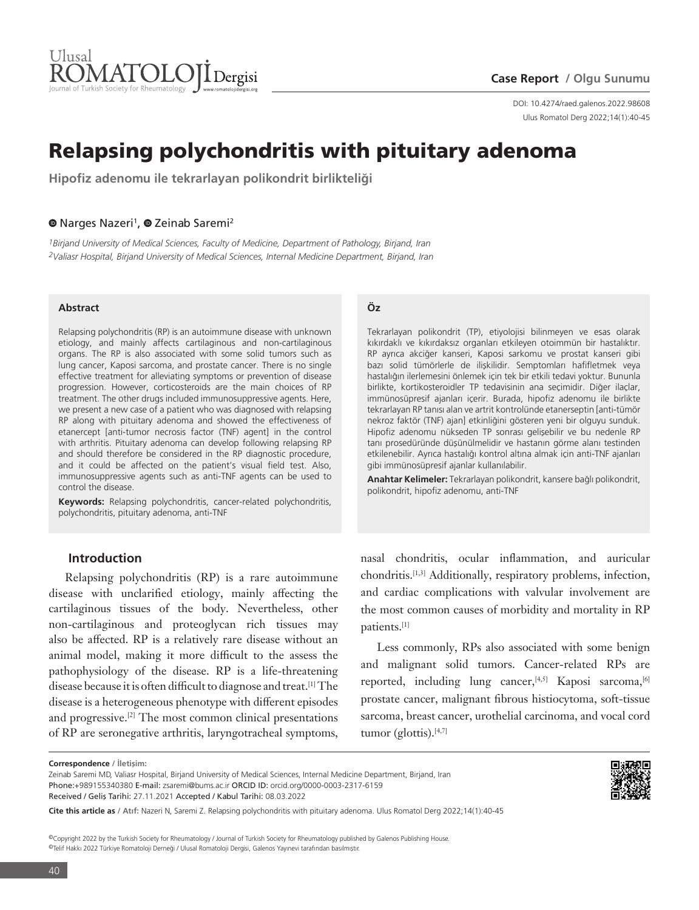

Ulus Romatol Derg 2022;14(1):40-45 DOI: 10.4274/raed.galenos.2022.98608

# Relapsing polychondritis with pituitary adenoma

**Hipofiz adenomu ile tekrarlayan polikondrit birlikteliği**

#### <sup>O</sup>Narges Nazeri<sup>1</sup>, <sup>O</sup> Zeinab Saremi<sup>2</sup>

*1Birjand University of Medical Sciences, Faculty of Medicine, Department of Pathology, Birjand, Iran 2Valiasr Hospital, Birjand University of Medical Sciences, Internal Medicine Department, Birjand, Iran*

#### **Abstract**

Relapsing polychondritis (RP) is an autoimmune disease with unknown etiology, and mainly affects cartilaginous and non-cartilaginous organs. The RP is also associated with some solid tumors such as lung cancer, Kaposi sarcoma, and prostate cancer. There is no single effective treatment for alleviating symptoms or prevention of disease progression. However, corticosteroids are the main choices of RP treatment. The other drugs included immunosuppressive agents. Here, we present a new case of a patient who was diagnosed with relapsing RP along with pituitary adenoma and showed the effectiveness of etanercept [anti-tumor necrosis factor (TNF) agent] in the control with arthritis. Pituitary adenoma can develop following relapsing RP and should therefore be considered in the RP diagnostic procedure, and it could be affected on the patient's visual field test. Also, immunosuppressive agents such as anti-TNF agents can be used to control the disease.

**Keywords:** Relapsing polychondritis, cancer-related polychondritis, polychondritis, pituitary adenoma, anti-TNF

### **Introduction**

Relapsing polychondritis (RP) is a rare autoimmune disease with unclarified etiology, mainly affecting the cartilaginous tissues of the body. Nevertheless, other non-cartilaginous and proteoglycan rich tissues may also be affected. RP is a relatively rare disease without an animal model, making it more difficult to the assess the pathophysiology of the disease. RP is a life-threatening disease because it is often difficult to diagnose and treat.[1] The disease is a heterogeneous phenotype with different episodes and progressive.[2] The most common clinical presentations of RP are seronegative arthritis, laryngotracheal symptoms,

#### **Öz**

Tekrarlayan polikondrit (TP), etiyolojisi bilinmeyen ve esas olarak kıkırdaklı ve kıkırdaksız organları etkileyen otoimmün bir hastalıktır. RP ayrıca akciğer kanseri, Kaposi sarkomu ve prostat kanseri gibi bazı solid tümörlerle de ilişkilidir. Semptomları hafifletmek veya hastalığın ilerlemesini önlemek için tek bir etkili tedavi yoktur. Bununla birlikte, kortikosteroidler TP tedavisinin ana seçimidir. Diğer ilaçlar, immünosüpresif ajanları içerir. Burada, hipofiz adenomu ile birlikte tekrarlayan RP tanısı alan ve artrit kontrolünde etanerseptin [anti-tümör nekroz faktör (TNF) ajan] etkinliğini gösteren yeni bir olguyu sunduk. Hipofiz adenomu nükseden TP sonrası gelişebilir ve bu nedenle RP tanı prosedüründe düşünülmelidir ve hastanın görme alanı testinden etkilenebilir. Ayrıca hastalığı kontrol altına almak için anti-TNF ajanları gibi immünosüpresif ajanlar kullanılabilir.

**Anahtar Kelimeler:** Tekrarlayan polikondrit, kansere bağlı polikondrit, polikondrit, hipofiz adenomu, anti-TNF

nasal chondritis, ocular inflammation, and auricular chondritis.[1,3] Additionally, respiratory problems, infection, and cardiac complications with valvular involvement are the most common causes of morbidity and mortality in RP patients.[1]

Less commonly, RPs also associated with some benign and malignant solid tumors. Cancer-related RPs are reported, including lung cancer, [4,5] Kaposi sarcoma, [6] prostate cancer, malignant fibrous histiocytoma, soft-tissue sarcoma, breast cancer, urothelial carcinoma, and vocal cord tumor (glottis). $[4,7]$ 



©Copyright 2022 by the Turkish Society for Rheumatology / Journal of Turkish Society for Rheumatology published by Galenos Publishing House. ©Telif Hakkı 2022 Türkiye Romatoloji Derneği / Ulusal Romatoloji Dergisi, Galenos Yayınevi tarafından basılmıştır.

**Correspondence / İletişim:**

Zeinab Saremi MD, Valiasr Hospital, Birjand University of Medical Sciences, Internal Medicine Department, Birjand, Iran Phone:+989155340380 E-mail: zsaremi@bums.ac.ir ORCID ID: orcid.org/0000-0003-2317-6159 Received / Geliş Tarihi: 27.11.2021 Accepted / Kabul Tarihi: 08.03.2022

**Cite this article as / Atıf:** Nazeri N, Saremi Z. Relapsing polychondritis with pituitary adenoma. Ulus Romatol Derg 2022;14(1):40-45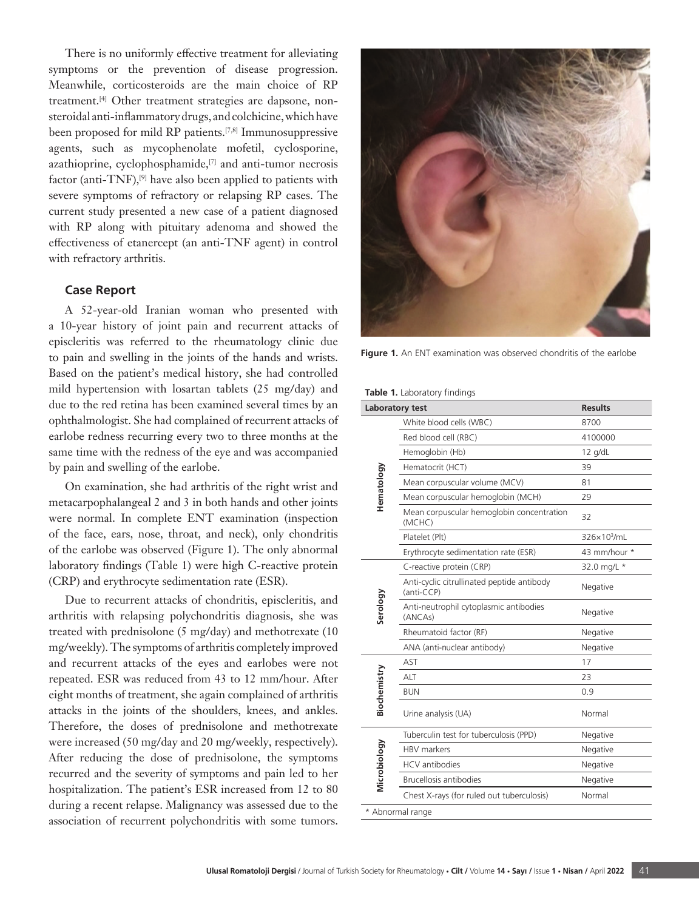There is no uniformly effective treatment for alleviating symptoms or the prevention of disease progression. Meanwhile, corticosteroids are the main choice of RP treatment.[4] Other treatment strategies are dapsone, nonsteroidal anti-inflammatory drugs, and colchicine, which have been proposed for mild RP patients.[7,8] Immunosuppressive agents, such as mycophenolate mofetil, cyclosporine, azathioprine, cyclophosphamide,[7] and anti-tumor necrosis factor (anti-TNF), $[9]$  have also been applied to patients with severe symptoms of refractory or relapsing RP cases. The current study presented a new case of a patient diagnosed with RP along with pituitary adenoma and showed the effectiveness of etanercept (an anti-TNF agent) in control with refractory arthritis.

#### **Case Report**

A 52-year-old Iranian woman who presented with a 10-year history of joint pain and recurrent attacks of episcleritis was referred to the rheumatology clinic due to pain and swelling in the joints of the hands and wrists. Based on the patient's medical history, she had controlled mild hypertension with losartan tablets (25 mg/day) and due to the red retina has been examined several times by an ophthalmologist. She had complained of recurrent attacks of earlobe redness recurring every two to three months at the same time with the redness of the eye and was accompanied by pain and swelling of the earlobe.

On examination, she had arthritis of the right wrist and metacarpophalangeal 2 and 3 in both hands and other joints were normal. In complete ENT examination (inspection of the face, ears, nose, throat, and neck), only chondritis of the earlobe was observed (Figure 1). The only abnormal laboratory findings (Table 1) were high C-reactive protein (CRP) and erythrocyte sedimentation rate (ESR).

Due to recurrent attacks of chondritis, episcleritis, and arthritis with relapsing polychondritis diagnosis, she was treated with prednisolone (5 mg/day) and methotrexate (10 mg/weekly). The symptoms of arthritis completely improved and recurrent attacks of the eyes and earlobes were not repeated. ESR was reduced from 43 to 12 mm/hour. After eight months of treatment, she again complained of arthritis attacks in the joints of the shoulders, knees, and ankles. Therefore, the doses of prednisolone and methotrexate were increased (50 mg/day and 20 mg/weekly, respectively). After reducing the dose of prednisolone, the symptoms recurred and the severity of symptoms and pain led to her hospitalization. The patient's ESR increased from 12 to 80 during a recent relapse. Malignancy was assessed due to the association of recurrent polychondritis with some tumors.



**Figure 1.** An ENT examination was observed chondritis of the earlobe

|  | <b>Table 1.</b> Laboratory findings |  |
|--|-------------------------------------|--|
|  |                                     |  |

|              | Laboratory test                                          | <b>Results</b>          |
|--------------|----------------------------------------------------------|-------------------------|
|              | White blood cells (WBC)                                  | 8700                    |
|              | Red blood cell (RBC)                                     | 4100000                 |
|              | Hemoglobin (Hb)                                          | 12 g/dL                 |
| Hematology   | Hematocrit (HCT)                                         | 39                      |
|              | Mean corpuscular volume (MCV)                            | 81                      |
|              | Mean corpuscular hemoglobin (MCH)                        | 29                      |
|              | Mean corpuscular hemoglobin concentration<br>(MCHC)      | 32                      |
|              | Platelet (Plt)                                           | 326×10 <sup>3</sup> /mL |
|              | Erythrocyte sedimentation rate (ESR)                     | 43 mm/hour *            |
| Serology     | C-reactive protein (CRP)                                 | 32.0 mg/L *             |
|              | Anti-cyclic citrullinated peptide antibody<br>(anti-CCP) | Negative                |
|              | Anti-neutrophil cytoplasmic antibodies<br>(ANCAs)        | Negative                |
|              | Rheumatoid factor (RF)                                   | Negative                |
|              | ANA (anti-nuclear antibody)                              | Negative                |
| Biochemistry | AST                                                      | 17                      |
|              | ALT                                                      | 23                      |
|              | <b>BUN</b>                                               | 0.9                     |
|              | Urine analysis (UA)                                      | Normal                  |
| Microbiology | Tuberculin test for tuberculosis (PPD)                   | Negative                |
|              | <b>HBV</b> markers                                       | Negative                |
|              | <b>HCV</b> antibodies                                    | Negative                |
|              | <b>Brucellosis antibodies</b>                            | Negative                |
|              | Chest X-rays (for ruled out tuberculosis)                | Normal                  |
|              | * Abnormal range                                         |                         |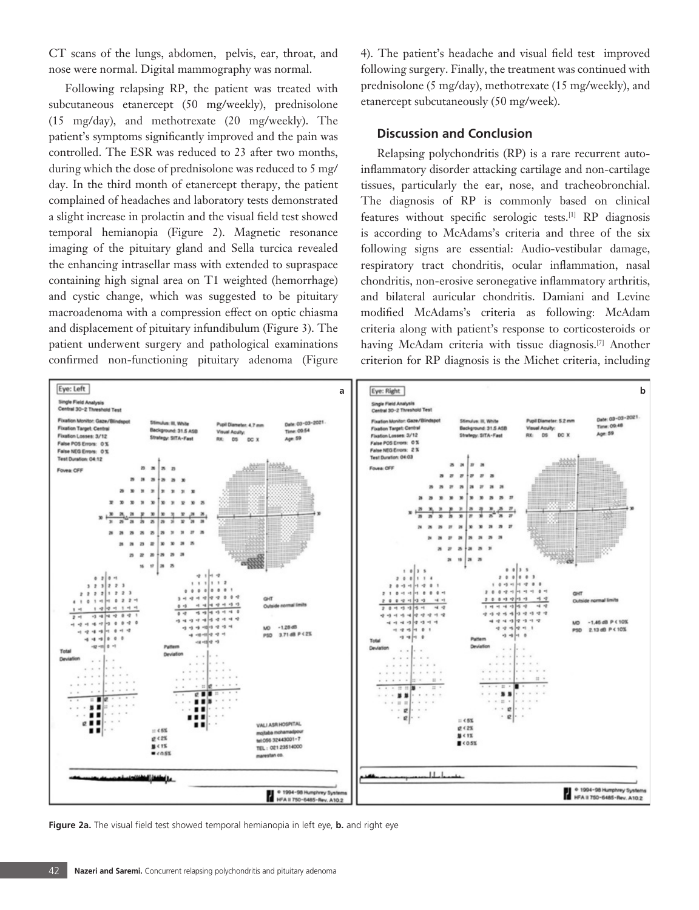CT scans of the lungs, abdomen, pelvis, ear, throat, and nose were normal. Digital mammography was normal.

Following relapsing RP, the patient was treated with subcutaneous etanercept (50 mg/weekly), prednisolone (15 mg/day), and methotrexate (20 mg/weekly). The patient's symptoms significantly improved and the pain was controlled. The ESR was reduced to 23 after two months, during which the dose of prednisolone was reduced to 5 mg/ day. In the third month of etanercept therapy, the patient complained of headaches and laboratory tests demonstrated a slight increase in prolactin and the visual field test showed temporal hemianopia (Figure 2). Magnetic resonance imaging of the pituitary gland and Sella turcica revealed the enhancing intrasellar mass with extended to supraspace containing high signal area on T1 weighted (hemorrhage) and cystic change, which was suggested to be pituitary macroadenoma with a compression effect on optic chiasma and displacement of pituitary infundibulum (Figure 3). The patient underwent surgery and pathological examinations confirmed non-functioning pituitary adenoma (Figure

4). The patient's headache and visual field test improved following surgery. Finally, the treatment was continued with prednisolone (5 mg/day), methotrexate (15 mg/weekly), and etanercept subcutaneously (50 mg/week).

### **Discussion and Conclusion**

Relapsing polychondritis (RP) is a rare recurrent autoinflammatory disorder attacking cartilage and non-cartilage tissues, particularly the ear, nose, and tracheobronchial. The diagnosis of RP is commonly based on clinical features without specific serologic tests.[1] RP diagnosis is according to McAdams's criteria and three of the six following signs are essential: Audio-vestibular damage, respiratory tract chondritis, ocular inflammation, nasal chondritis, non-erosive seronegative inflammatory arthritis, and bilateral auricular chondritis. Damiani and Levine modified McAdams's criteria as following: McAdam criteria along with patient's response to corticosteroids or having McAdam criteria with tissue diagnosis.[7] Another criterion for RP diagnosis is the Michet criteria, including



**Figure 2a.** The visual field test showed temporal hemianopia in left eye, **b.** and right eye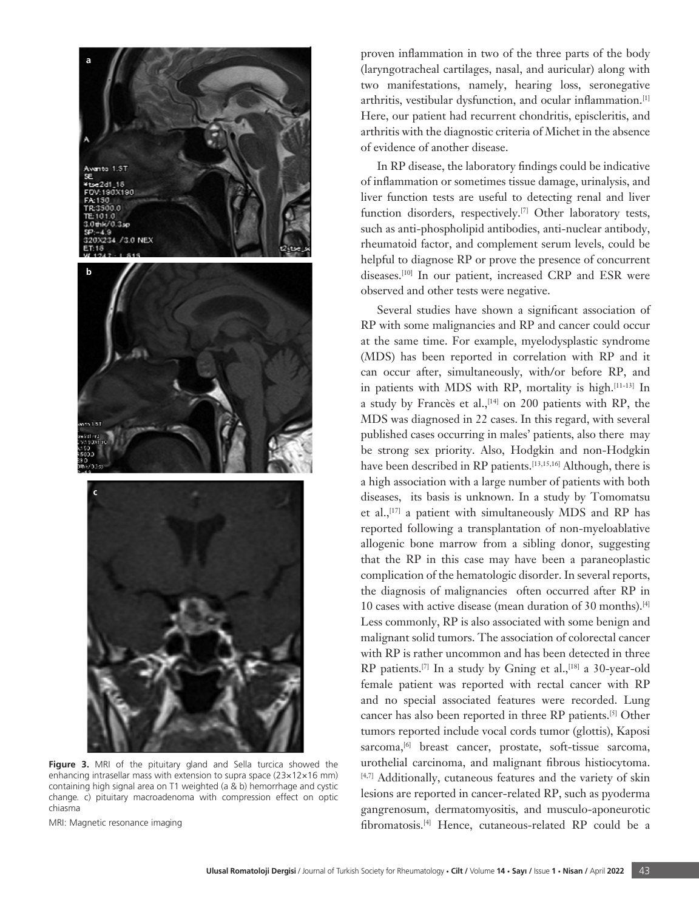

**Figure 3.** MRI of the pituitary gland and Sella turcica showed the enhancing intrasellar mass with extension to supra space (23×12×16 mm) containing high signal area on T1 weighted (a & b) hemorrhage and cystic change. c) pituitary macroadenoma with compression effect on optic chiasma

MRI: Magnetic resonance imaging

proven inflammation in two of the three parts of the body (laryngotracheal cartilages, nasal, and auricular) along with two manifestations, namely, hearing loss, seronegative arthritis, vestibular dysfunction, and ocular inflammation.[1] Here, our patient had recurrent chondritis, episcleritis, and arthritis with the diagnostic criteria of Michet in the absence of evidence of another disease.

In RP disease, the laboratory findings could be indicative of inflammation or sometimes tissue damage, urinalysis, and liver function tests are useful to detecting renal and liver function disorders, respectively.<sup>[7]</sup> Other laboratory tests, such as anti-phospholipid antibodies, anti-nuclear antibody, rheumatoid factor, and complement serum levels, could be helpful to diagnose RP or prove the presence of concurrent diseases.[10] In our patient, increased CRP and ESR were observed and other tests were negative.

Several studies have shown a significant association of RP with some malignancies and RP and cancer could occur at the same time. For example, myelodysplastic syndrome (MDS) has been reported in correlation with RP and it can occur after, simultaneously, with/or before RP, and in patients with MDS with RP, mortality is high.[11-13] In a study by Francès et al., $[14]$  on 200 patients with RP, the MDS was diagnosed in 22 cases. In this regard, with several published cases occurring in males' patients, also there may be strong sex priority. Also, Hodgkin and non-Hodgkin have been described in RP patients.<sup>[13,15,16]</sup> Although, there is a high association with a large number of patients with both diseases, its basis is unknown. In a study by Tomomatsu et al., $^{[17]}$  a patient with simultaneously MDS and RP has reported following a transplantation of non-myeloablative allogenic bone marrow from a sibling donor, suggesting that the RP in this case may have been a paraneoplastic complication of the hematologic disorder. In several reports, the diagnosis of malignancies often occurred after RP in 10 cases with active disease (mean duration of 30 months).[4] Less commonly, RP is also associated with some benign and malignant solid tumors. The association of colorectal cancer with RP is rather uncommon and has been detected in three RP patients.<sup>[7]</sup> In a study by Gning et al.,<sup>[18]</sup> a 30-year-old female patient was reported with rectal cancer with RP and no special associated features were recorded. Lung cancer has also been reported in three RP patients.[5] Other tumors reported include vocal cords tumor (glottis), Kaposi sarcoma,<sup>[6]</sup> breast cancer, prostate, soft-tissue sarcoma, urothelial carcinoma, and malignant fibrous histiocytoma. [4,7] Additionally, cutaneous features and the variety of skin lesions are reported in cancer-related RP, such as pyoderma gangrenosum, dermatomyositis, and musculo-aponeurotic fibromatosis.[4] Hence, cutaneous-related RP could be a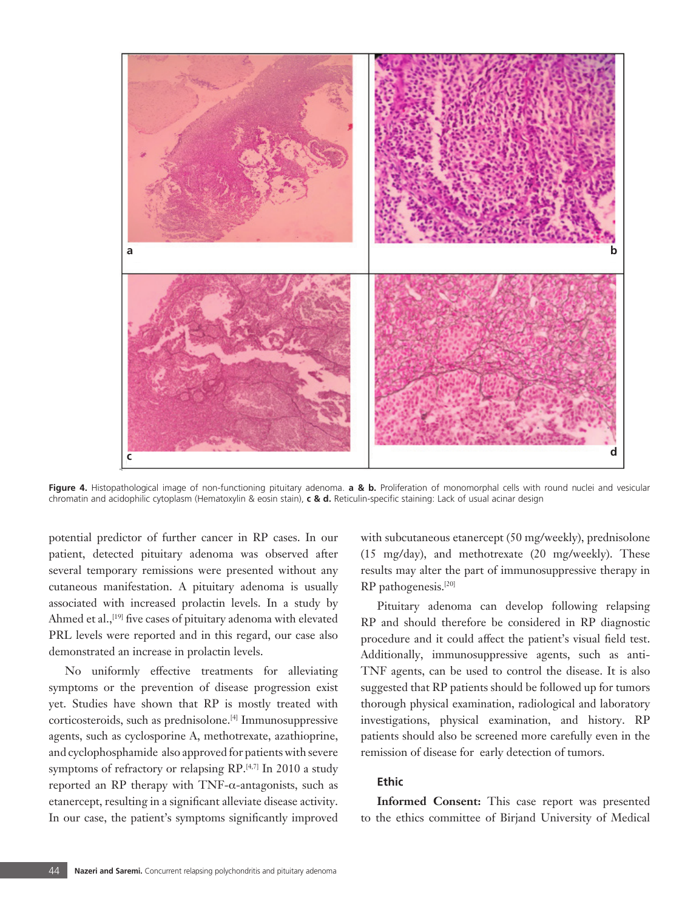

**Figure 4.** Histopathological image of non-functioning pituitary adenoma. **a & b.** Proliferation of monomorphal cells with round nuclei and vesicular chromatin and acidophilic cytoplasm (Hematoxylin & eosin stain), **c & d.** Reticulin-specific staining: Lack of usual acinar design

potential predictor of further cancer in RP cases. In our patient, detected pituitary adenoma was observed after several temporary remissions were presented without any cutaneous manifestation. A pituitary adenoma is usually associated with increased prolactin levels. In a study by Ahmed et al.,<sup>[19]</sup> five cases of pituitary adenoma with elevated PRL levels were reported and in this regard, our case also demonstrated an increase in prolactin levels.

No uniformly effective treatments for alleviating symptoms or the prevention of disease progression exist yet. Studies have shown that RP is mostly treated with corticosteroids, such as prednisolone.[4] Immunosuppressive agents, such as cyclosporine A, methotrexate, azathioprine, and cyclophosphamide also approved for patients with severe symptoms of refractory or relapsing RP.<sup>[4,7]</sup> In 2010 a study reported an RP therapy with TNF- $α$ -antagonists, such as etanercept, resulting in a significant alleviate disease activity. In our case, the patient's symptoms significantly improved

with subcutaneous etanercept (50 mg/weekly), prednisolone (15 mg/day), and methotrexate (20 mg/weekly). These results may alter the part of immunosuppressive therapy in RP pathogenesis.[20]

Pituitary adenoma can develop following relapsing RP and should therefore be considered in RP diagnostic procedure and it could affect the patient's visual field test. Additionally, immunosuppressive agents, such as anti-TNF agents, can be used to control the disease. It is also suggested that RP patients should be followed up for tumors thorough physical examination, radiological and laboratory investigations, physical examination, and history. RP patients should also be screened more carefully even in the remission of disease for early detection of tumors.

## **Ethic**

**Informed Consent:** This case report was presented to the ethics committee of Birjand University of Medical